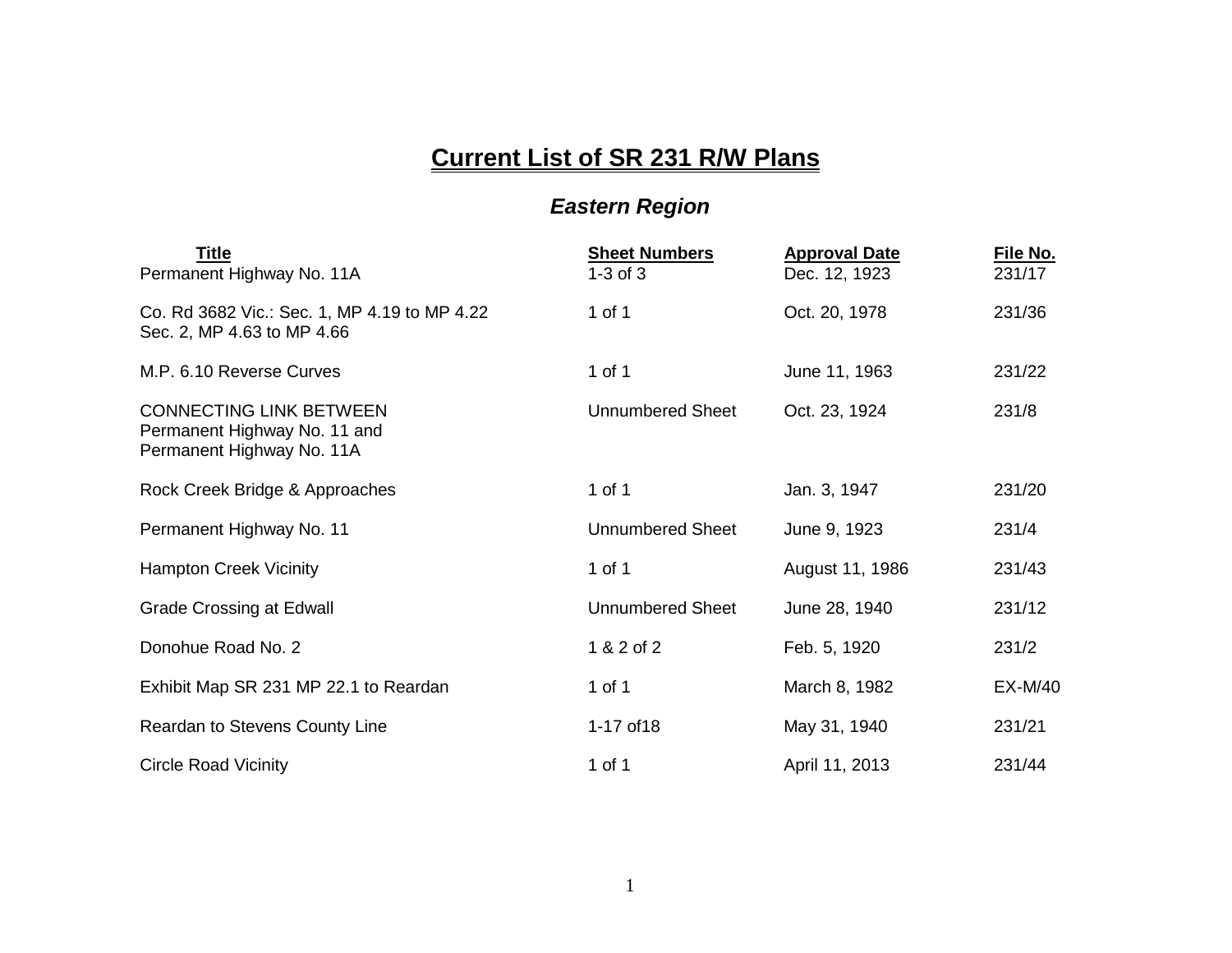## **Current List of SR 231 R/W Plans**

## *Eastern Region*

| <b>Title</b><br>Permanent Highway No. 11A                                                   | <b>Sheet Numbers</b><br>$1-3$ of $3$ | <b>Approval Date</b><br>Dec. 12, 1923 | File No.<br>231/17 |
|---------------------------------------------------------------------------------------------|--------------------------------------|---------------------------------------|--------------------|
| Co. Rd 3682 Vic.: Sec. 1, MP 4.19 to MP 4.22<br>Sec. 2, MP 4.63 to MP 4.66                  | 1 of 1                               | Oct. 20, 1978                         | 231/36             |
| M.P. 6.10 Reverse Curves                                                                    | 1 of 1                               | June 11, 1963                         | 231/22             |
| <b>CONNECTING LINK BETWEEN</b><br>Permanent Highway No. 11 and<br>Permanent Highway No. 11A | <b>Unnumbered Sheet</b>              | Oct. 23, 1924                         | 231/8              |
| Rock Creek Bridge & Approaches                                                              | 1 of 1                               | Jan. 3, 1947                          | 231/20             |
| Permanent Highway No. 11                                                                    | <b>Unnumbered Sheet</b>              | June 9, 1923                          | 231/4              |
| <b>Hampton Creek Vicinity</b>                                                               | 1 of 1                               | August 11, 1986                       | 231/43             |
| <b>Grade Crossing at Edwall</b>                                                             | <b>Unnumbered Sheet</b>              | June 28, 1940                         | 231/12             |
| Donohue Road No. 2                                                                          | 1 & 2 of 2                           | Feb. 5, 1920                          | 231/2              |
| Exhibit Map SR 231 MP 22.1 to Reardan                                                       | 1 of 1                               | March 8, 1982                         | <b>EX-M/40</b>     |
| Reardan to Stevens County Line                                                              | 1-17 of 18                           | May 31, 1940                          | 231/21             |
| <b>Circle Road Vicinity</b>                                                                 | 1 of 1                               | April 11, 2013                        | 231/44             |